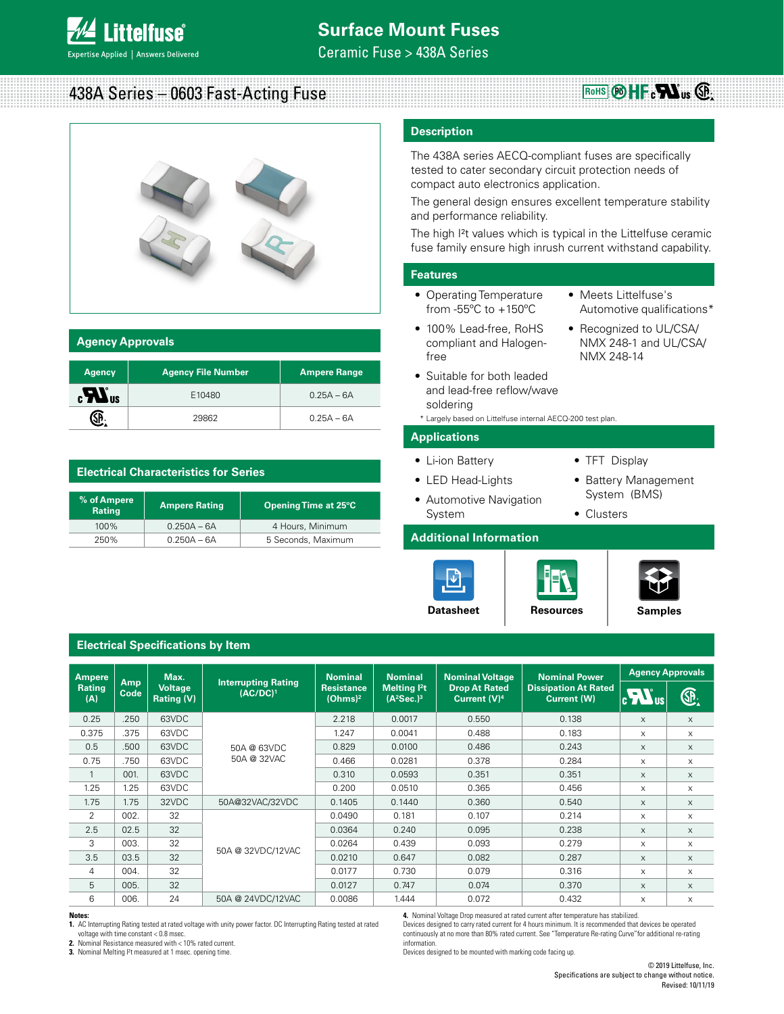438A Series – 0603 Fast-Acting Fuse



| <b>Agency Approvals</b> |  |
|-------------------------|--|
|                         |  |

| <b>Agency</b>                       | <b>Agency File Number</b> | <b>Ampere Range</b> |
|-------------------------------------|---------------------------|---------------------|
| $\mathbf{c}$ <b>N</b> <sub>us</sub> | E10480                    | $0.25A - 6A$        |
|                                     | 29862                     | $0.25A - 6A$        |

# **Electrical Characteristics for Series**

| % of Ampere<br><b>Rating</b> | <b>Ampere Rating</b> | Opening Time at 25°C |
|------------------------------|----------------------|----------------------|
| $100\%$                      | $0.250A - 6A$        | 4 Hours, Minimum     |
| 250%                         | $0.250A - 6A$        | 5 Seconds, Maximum   |

# **Description**

The 438A series AECQ-compliant fuses are specifically tested to cater secondary circuit protection needs of compact auto electronics application.

The general design ensures excellent temperature stability and performance reliability.

The high I<sup>2</sup>t values which is typical in the Littelfuse ceramic fuse family ensure high inrush current withstand capability.

## **Features**

- Operating Temperature from -55ºC to +150ºC
- Meets Littelfuse's Automotive qualifications\*

**RoHS**  $\circledR$  HF  $\circ$  **N**<sub>us</sub>  $\circledR$ 

- 100% Lead-free, RoHS compliant and Halogenfree
- Recognized to UL/CSA/ NMX 248-1 and UL/CSA/ NMX 248-14
- Suitable for both leaded and lead-free reflow/wave soldering
- \* Largely based on Littelfuse internal AECQ-200 test plan.

# **Applications**

• Li-ion Battery

• LED Head-Lights

• TFT Display

• Clusters

- Battery Management System (BMS)
- Automotive Navigation System

# **Additional Information**





**Datasheet** | [Resources](http://www.littelfuse.com/products/fuses/surface-mount-fuses/thin-film-chip-fuses/438.aspx#TechnicalResources) | [Samples](http://www.littelfuse.com/products/fuses/surface-mount-fuses/thin-film-chip-fuses/438.aspx#ElectricalCharacteristics)

# **Electrical Specifications by Item**

| <b>Ampere</b>        |                    | Max.                                |                                           | <b>Nominal</b>                                                                 | <b>Nominal</b>                                   | <b>Nominal Voltage</b>                     | <b>Nominal Power</b>                    | <b>Agency Approvals</b> |          |
|----------------------|--------------------|-------------------------------------|-------------------------------------------|--------------------------------------------------------------------------------|--------------------------------------------------|--------------------------------------------|-----------------------------------------|-------------------------|----------|
| <b>Rating</b><br>(A) | <b>Amp</b><br>Code | <b>Voltage</b><br><b>Rating (V)</b> | <b>Interrupting Rating</b><br>$(AC/DC)^1$ | <b>Melting Pt</b><br><b>Resistance</b><br>(Ohms) <sup>2</sup><br>$(A^2Sec.)^3$ | <b>Drop At Rated</b><br>Current (V) <sup>4</sup> | <b>Dissipation At Rated</b><br>Current (W) | $\mathbf{c}$ $\mathbf{W}$ <sub>us</sub> | Œ.                      |          |
| 0.25                 | .250               | 63VDC                               |                                           | 2.218                                                                          | 0.0017                                           | 0.550                                      | 0.138                                   | X                       | $\times$ |
| 0.375                | .375               | 63VDC                               |                                           | 1.247                                                                          | 0.0041                                           | 0.488                                      | 0.183                                   | X                       | X        |
| 0.5                  | .500               | 63VDC                               | 50A @ 63VDC                               | 0.829                                                                          | 0.0100                                           | 0.486                                      | 0.243                                   | X                       | $\times$ |
| 0.75                 | .750               | 63VDC                               | 50A @ 32VAC                               | 0.466                                                                          | 0.0281                                           | 0.378                                      | 0.284                                   | X                       | X        |
| 1                    | 001.               | 63VDC                               |                                           | 0.310                                                                          | 0.0593                                           | 0.351                                      | 0.351                                   | X                       | $\times$ |
| 1.25                 | 1.25               | 63VDC                               |                                           | 0.200                                                                          | 0.0510                                           | 0.365                                      | 0.456                                   | X                       | X        |
| 1.75                 | 1.75               | 32VDC                               | 50A@32VAC/32VDC                           | 0.1405                                                                         | 0.1440                                           | 0.360                                      | 0.540                                   | X                       | $\times$ |
| 2                    | 002.               | 32                                  |                                           | 0.0490                                                                         | 0.181                                            | 0.107                                      | 0.214                                   | X                       | $\times$ |
| 2.5                  | 02.5               | 32                                  |                                           | 0.0364                                                                         | 0.240                                            | 0.095                                      | 0.238                                   | X                       | $\times$ |
| 3                    | 003.               | 32                                  |                                           | 0.0264                                                                         | 0.439                                            | 0.093                                      | 0.279                                   | X                       | $\times$ |
| 3.5                  | 03.5               | 32                                  | 50A @ 32VDC/12VAC                         | 0.0210                                                                         | 0.647                                            | 0.082                                      | 0.287                                   | X                       | $\times$ |
| 4                    | 004.               | 32                                  |                                           | 0.0177                                                                         | 0.730                                            | 0.079                                      | 0.316                                   | $\mathsf{x}$            | $\times$ |
| 5                    | 005.               | 32                                  |                                           | 0.0127                                                                         | 0.747                                            | 0.074                                      | 0.370                                   | X                       | $\times$ |
| 6                    | 006.               | 24                                  | 50A @ 24VDC/12VAC                         | 0.0086                                                                         | 1.444                                            | 0.072                                      | 0.432                                   | X                       | $\times$ |

#### **Notes:**

**1.** AC Interrupting Rating tested at rated voltage with unity power factor. DC Interrupting Rating tested at rated voltage with time constant < 0.8 msec.

**2.** Nominal Resistance measured with < 10% rated current.

**3.** Nominal Melting I²t measured at 1 msec. opening time.

**4.** Nominal Voltage Drop measured at rated current after temperature has stabilized.

Devices designed to carry rated current for 4 hours minimum. It is recommended that devices be operated continuously at no more than 80% rated current. See "Temperature Re-rating Curve"for additional re-rating information.

Devices designed to be mounted with marking code facing up.

© 2019 Littelfuse, Inc. Specifications are subject to change without notice. Revised: 10/11/19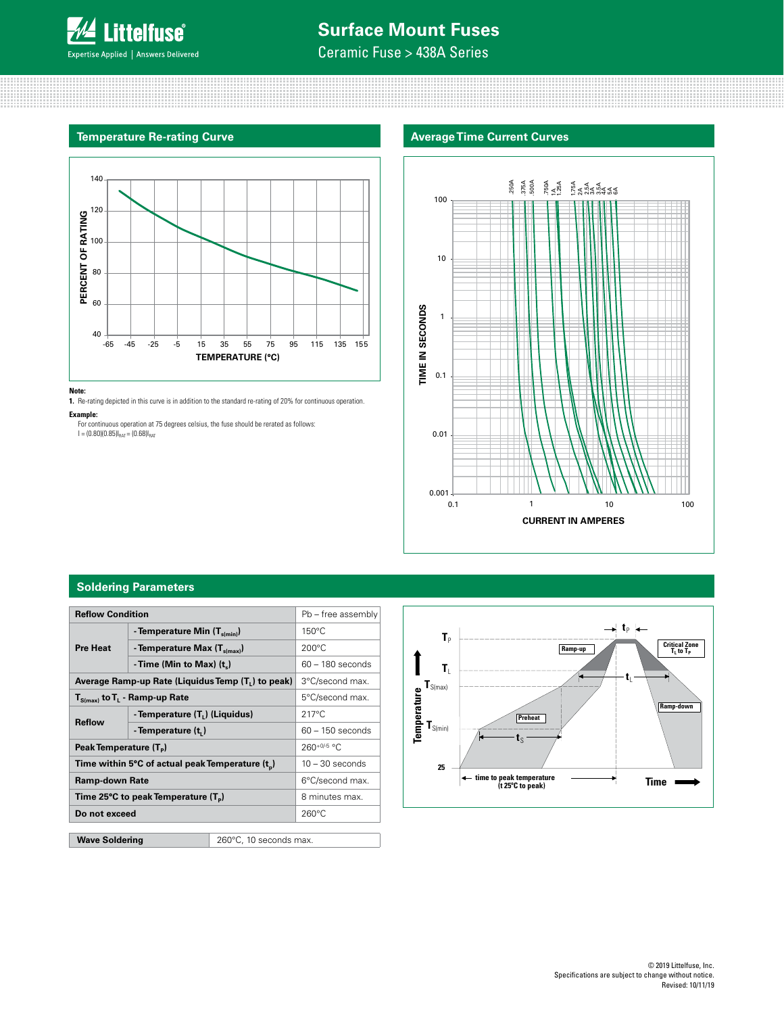

# **Surface Mount Fuses**

Ceramic Fuse > 438A Series

# **Temperature Re-rating Curve**



#### **Note:**

**1.** Re-rating depicted in this curve is in addition to the standard re-rating of 20% for continuous operation.

**Example:** 

For continuous operation at 75 degrees celsius, the fuse should be rerated as follows:<br>l = (0.80)(0.85)I<sub>RAT</sub> = (0.68)I<sub>RAT</sub>

# **Average Time Current Curves**



# **Soldering Parameters**

| <b>Reflow Condition</b>                         |                                                              |                                                                | Pb - free assembly |  |
|-------------------------------------------------|--------------------------------------------------------------|----------------------------------------------------------------|--------------------|--|
|                                                 | - Temperature Min $(T_{s(min)})$                             | $150^{\circ}$ C                                                |                    |  |
| <b>Pre Heat</b>                                 | - Temperature Max $(T_{\text{s(max)}})$                      | $200^{\circ}$ C                                                |                    |  |
|                                                 | - Time (Min to Max) $(t_*)$                                  |                                                                | $60 - 180$ seconds |  |
|                                                 |                                                              | Average Ramp-up Rate (Liquidus Temp (T <sub>1</sub> ) to peak) | 3°C/second max.    |  |
| $T_{S(max)}$ to $T_L$ - Ramp-up Rate            |                                                              | 5°C/second max.                                                |                    |  |
| <b>Reflow</b>                                   | - Temperature (T <sub>1</sub> ) (Liquidus)                   |                                                                | $217^{\circ}$ C    |  |
|                                                 | - Temperature (t <sub>1</sub> )                              |                                                                | $60 - 150$ seconds |  |
| Peak Temperature (T <sub>p</sub> )              |                                                              | $260+0/5$ °C                                                   |                    |  |
|                                                 | Time within 5°C of actual peak Temperature (t <sub>n</sub> ) |                                                                | $10 - 30$ seconds  |  |
| <b>Ramp-down Rate</b>                           |                                                              |                                                                | 6°C/second max.    |  |
| Time 25°C to peak Temperature (T <sub>p</sub> ) |                                                              | 8 minutes max.                                                 |                    |  |
| Do not exceed                                   |                                                              | $260^{\circ}$ C                                                |                    |  |
|                                                 |                                                              |                                                                |                    |  |
| <b>Wave Soldering</b><br>260°C, 10 seconds max. |                                                              |                                                                |                    |  |